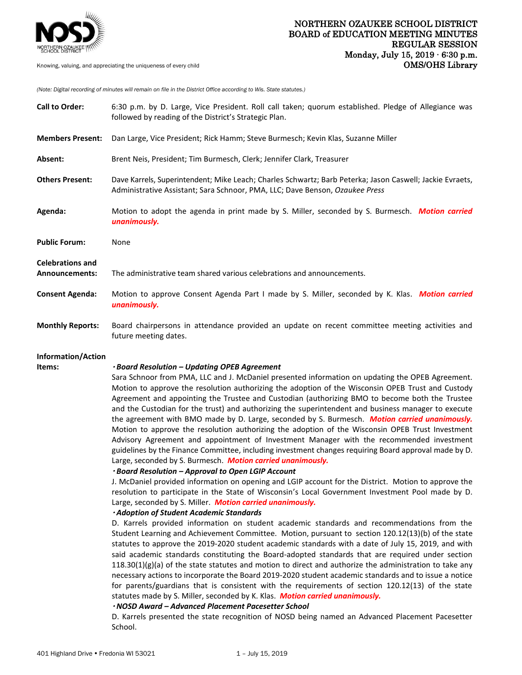

*(Note: Digital recording of minutes will remain on file in the District Office according to Wis. State statutes.)*

| <b>Call to Order:</b>                     | 6:30 p.m. by D. Large, Vice President. Roll call taken; quorum established. Pledge of Allegiance was<br>followed by reading of the District's Strategic Plan.                                                                                                                                                                                                                                                                                                                                                                                                                                                                                                                                                                                                                                                                                                                                                                                                                                                                                                                                                                                                                                                                                                                                                                                                                                                                                                                                                                                                                                                                                                                                                                                                                                                                                   |
|-------------------------------------------|-------------------------------------------------------------------------------------------------------------------------------------------------------------------------------------------------------------------------------------------------------------------------------------------------------------------------------------------------------------------------------------------------------------------------------------------------------------------------------------------------------------------------------------------------------------------------------------------------------------------------------------------------------------------------------------------------------------------------------------------------------------------------------------------------------------------------------------------------------------------------------------------------------------------------------------------------------------------------------------------------------------------------------------------------------------------------------------------------------------------------------------------------------------------------------------------------------------------------------------------------------------------------------------------------------------------------------------------------------------------------------------------------------------------------------------------------------------------------------------------------------------------------------------------------------------------------------------------------------------------------------------------------------------------------------------------------------------------------------------------------------------------------------------------------------------------------------------------------|
| <b>Members Present:</b>                   | Dan Large, Vice President; Rick Hamm; Steve Burmesch; Kevin Klas, Suzanne Miller                                                                                                                                                                                                                                                                                                                                                                                                                                                                                                                                                                                                                                                                                                                                                                                                                                                                                                                                                                                                                                                                                                                                                                                                                                                                                                                                                                                                                                                                                                                                                                                                                                                                                                                                                                |
| Absent:                                   | Brent Neis, President; Tim Burmesch, Clerk; Jennifer Clark, Treasurer                                                                                                                                                                                                                                                                                                                                                                                                                                                                                                                                                                                                                                                                                                                                                                                                                                                                                                                                                                                                                                                                                                                                                                                                                                                                                                                                                                                                                                                                                                                                                                                                                                                                                                                                                                           |
| <b>Others Present:</b>                    | Dave Karrels, Superintendent; Mike Leach; Charles Schwartz; Barb Peterka; Jason Caswell; Jackie Evraets,<br>Administrative Assistant; Sara Schnoor, PMA, LLC; Dave Benson, Ozaukee Press                                                                                                                                                                                                                                                                                                                                                                                                                                                                                                                                                                                                                                                                                                                                                                                                                                                                                                                                                                                                                                                                                                                                                                                                                                                                                                                                                                                                                                                                                                                                                                                                                                                        |
| Agenda:                                   | Motion to adopt the agenda in print made by S. Miller, seconded by S. Burmesch. Motion carried<br>unanimously.                                                                                                                                                                                                                                                                                                                                                                                                                                                                                                                                                                                                                                                                                                                                                                                                                                                                                                                                                                                                                                                                                                                                                                                                                                                                                                                                                                                                                                                                                                                                                                                                                                                                                                                                  |
| <b>Public Forum:</b>                      | None                                                                                                                                                                                                                                                                                                                                                                                                                                                                                                                                                                                                                                                                                                                                                                                                                                                                                                                                                                                                                                                                                                                                                                                                                                                                                                                                                                                                                                                                                                                                                                                                                                                                                                                                                                                                                                            |
| <b>Celebrations and</b><br>Announcements: | The administrative team shared various celebrations and announcements.                                                                                                                                                                                                                                                                                                                                                                                                                                                                                                                                                                                                                                                                                                                                                                                                                                                                                                                                                                                                                                                                                                                                                                                                                                                                                                                                                                                                                                                                                                                                                                                                                                                                                                                                                                          |
| <b>Consent Agenda:</b>                    | Motion to approve Consent Agenda Part I made by S. Miller, seconded by K. Klas. Motion carried<br>unanimously.                                                                                                                                                                                                                                                                                                                                                                                                                                                                                                                                                                                                                                                                                                                                                                                                                                                                                                                                                                                                                                                                                                                                                                                                                                                                                                                                                                                                                                                                                                                                                                                                                                                                                                                                  |
| <b>Monthly Reports:</b>                   | Board chairpersons in attendance provided an update on recent committee meeting activities and<br>future meeting dates.                                                                                                                                                                                                                                                                                                                                                                                                                                                                                                                                                                                                                                                                                                                                                                                                                                                                                                                                                                                                                                                                                                                                                                                                                                                                                                                                                                                                                                                                                                                                                                                                                                                                                                                         |
| Information/Action<br>Items:              | · Board Resolution - Updating OPEB Agreement<br>Sara Schnoor from PMA, LLC and J. McDaniel presented information on updating the OPEB Agreement.<br>Motion to approve the resolution authorizing the adoption of the Wisconsin OPEB Trust and Custody<br>Agreement and appointing the Trustee and Custodian (authorizing BMO to become both the Trustee<br>and the Custodian for the trust) and authorizing the superintendent and business manager to execute<br>the agreement with BMO made by D. Large, seconded by S. Burmesch. Motion carried unanimously.<br>Motion to approve the resolution authorizing the adoption of the Wisconsin OPEB Trust Investment<br>Advisory Agreement and appointment of Investment Manager with the recommended investment<br>guidelines by the Finance Committee, including investment changes requiring Board approval made by D.<br>Large, seconded by S. Burmesch. Motion carried unanimously.<br>· Board Resolution - Approval to Open LGIP Account<br>J. McDaniel provided information on opening and LGIP account for the District. Motion to approve the<br>resolution to participate in the State of Wisconsin's Local Government Investment Pool made by D.<br>Large, seconded by S. Miller. Motion carried unanimously.<br>· Adoption of Student Academic Standards<br>D. Karrels provided information on student academic standards and recommendations from the<br>Student Learning and Achievement Committee. Motion, pursuant to section 120.12(13)(b) of the state<br>statutes to approve the 2019-2020 student academic standards with a date of July 15, 2019, and with<br>said academic standards constituting the Board-adopted standards that are required under section<br>$118.30(1)(g)(a)$ of the state statutes and motion to direct and authorize the administration to take any |

 $118.30(1)(g)(a)$  of the state statutes and motion to direct and authorize the administration to take any necessary actions to incorporate the Board 2019-2020 student academic standards and to issue a notice for parents/guardians that is consistent with the requirements of section 120.12(13) of the state statutes made by S. Miller, seconded by K. Klas. *Motion carried unanimously.* 

## *NOSD Award – Advanced Placement Pacesetter School*

 D. Karrels presented the state recognition of NOSD being named an Advanced Placement Pacesetter School.